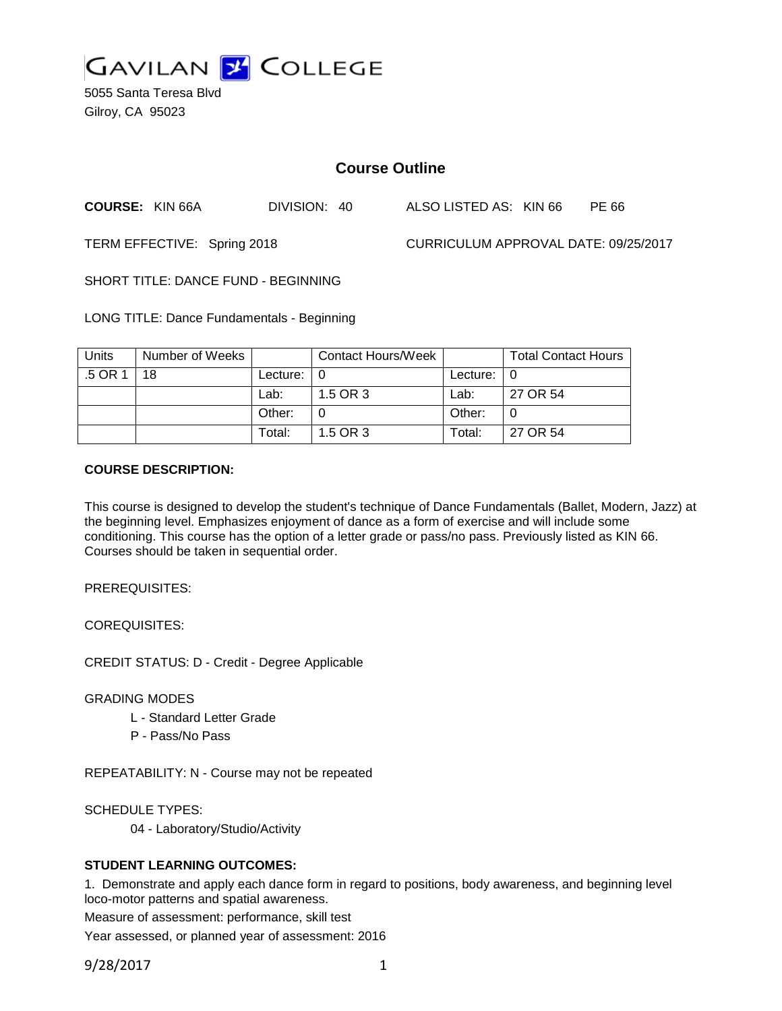

5055 Santa Teresa Blvd Gilroy, CA 95023

# **Course Outline**

**COURSE:** KIN 66A DIVISION: 40 ALSO LISTED AS: KIN 66 PE 66

TERM EFFECTIVE: Spring 2018 CURRICULUM APPROVAL DATE: 09/25/2017

SHORT TITLE: DANCE FUND - BEGINNING

LONG TITLE: Dance Fundamentals - Beginning

| Units   | Number of Weeks |                            | Contact Hours/Week |                            | <b>Total Contact Hours</b> |
|---------|-----------------|----------------------------|--------------------|----------------------------|----------------------------|
| .5 OR 1 | 18              | Lecture: $\vert 0 \rangle$ |                    | Lecture: $\vert 0 \rangle$ |                            |
|         |                 | Lab:                       | 1.5 OR 3           | Lab:                       | 27 OR 54                   |
|         |                 | Other:                     |                    | Other:                     |                            |
|         |                 | Total:                     | 1.5 OR 3           | Total:                     | 27 OR 54                   |

#### **COURSE DESCRIPTION:**

This course is designed to develop the student's technique of Dance Fundamentals (Ballet, Modern, Jazz) at the beginning level. Emphasizes enjoyment of dance as a form of exercise and will include some conditioning. This course has the option of a letter grade or pass/no pass. Previously listed as KIN 66. Courses should be taken in sequential order.

PREREQUISITES:

COREQUISITES:

CREDIT STATUS: D - Credit - Degree Applicable

GRADING MODES

- L Standard Letter Grade
- P Pass/No Pass

REPEATABILITY: N - Course may not be repeated

SCHEDULE TYPES:

04 - Laboratory/Studio/Activity

## **STUDENT LEARNING OUTCOMES:**

1. Demonstrate and apply each dance form in regard to positions, body awareness, and beginning level loco-motor patterns and spatial awareness.

Measure of assessment: performance, skill test

Year assessed, or planned year of assessment: 2016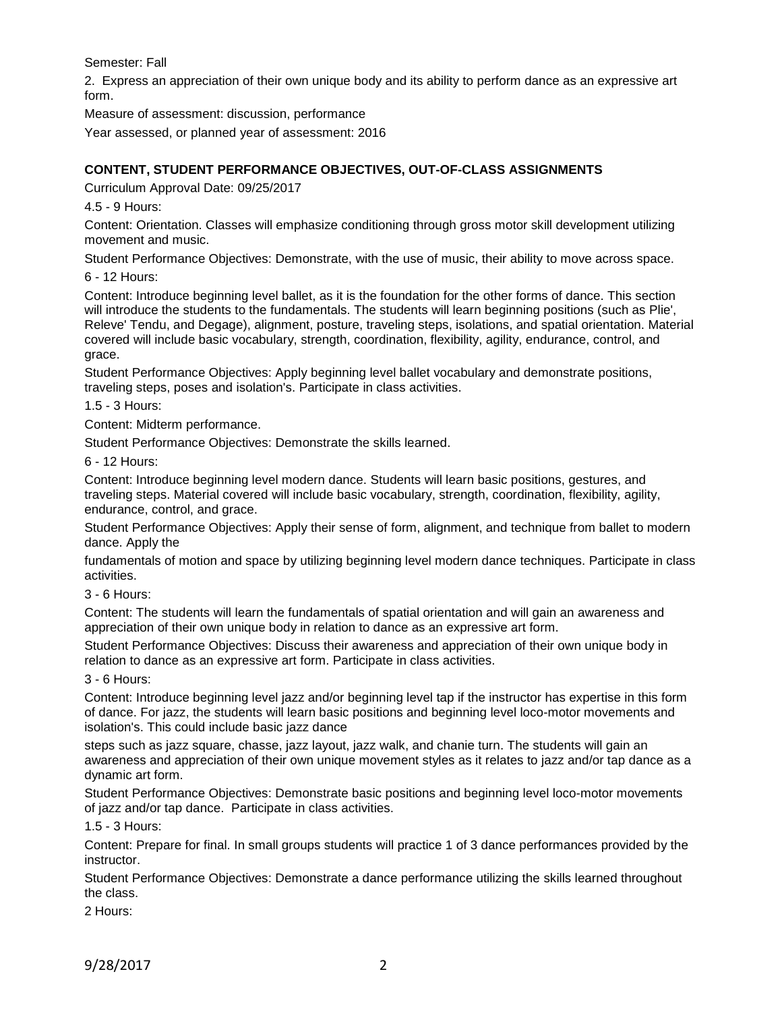Semester: Fall

2. Express an appreciation of their own unique body and its ability to perform dance as an expressive art form.

Measure of assessment: discussion, performance

Year assessed, or planned year of assessment: 2016

# **CONTENT, STUDENT PERFORMANCE OBJECTIVES, OUT-OF-CLASS ASSIGNMENTS**

Curriculum Approval Date: 09/25/2017

4.5 - 9 Hours:

Content: Orientation. Classes will emphasize conditioning through gross motor skill development utilizing movement and music.

Student Performance Objectives: Demonstrate, with the use of music, their ability to move across space.

6 - 12 Hours:

Content: Introduce beginning level ballet, as it is the foundation for the other forms of dance. This section will introduce the students to the fundamentals. The students will learn beginning positions (such as Plie', Releve' Tendu, and Degage), alignment, posture, traveling steps, isolations, and spatial orientation. Material covered will include basic vocabulary, strength, coordination, flexibility, agility, endurance, control, and grace.

Student Performance Objectives: Apply beginning level ballet vocabulary and demonstrate positions, traveling steps, poses and isolation's. Participate in class activities.

1.5 - 3 Hours:

Content: Midterm performance.

Student Performance Objectives: Demonstrate the skills learned.

6 - 12 Hours:

Content: Introduce beginning level modern dance. Students will learn basic positions, gestures, and traveling steps. Material covered will include basic vocabulary, strength, coordination, flexibility, agility, endurance, control, and grace.

Student Performance Objectives: Apply their sense of form, alignment, and technique from ballet to modern dance. Apply the

fundamentals of motion and space by utilizing beginning level modern dance techniques. Participate in class activities.

3 - 6 Hours:

Content: The students will learn the fundamentals of spatial orientation and will gain an awareness and appreciation of their own unique body in relation to dance as an expressive art form.

Student Performance Objectives: Discuss their awareness and appreciation of their own unique body in relation to dance as an expressive art form. Participate in class activities.

3 - 6 Hours:

Content: Introduce beginning level jazz and/or beginning level tap if the instructor has expertise in this form of dance. For jazz, the students will learn basic positions and beginning level loco-motor movements and isolation's. This could include basic jazz dance

steps such as jazz square, chasse, jazz layout, jazz walk, and chanie turn. The students will gain an awareness and appreciation of their own unique movement styles as it relates to jazz and/or tap dance as a dynamic art form.

Student Performance Objectives: Demonstrate basic positions and beginning level loco-motor movements of jazz and/or tap dance. Participate in class activities.

1.5 - 3 Hours:

Content: Prepare for final. In small groups students will practice 1 of 3 dance performances provided by the instructor.

Student Performance Objectives: Demonstrate a dance performance utilizing the skills learned throughout the class.

2 Hours: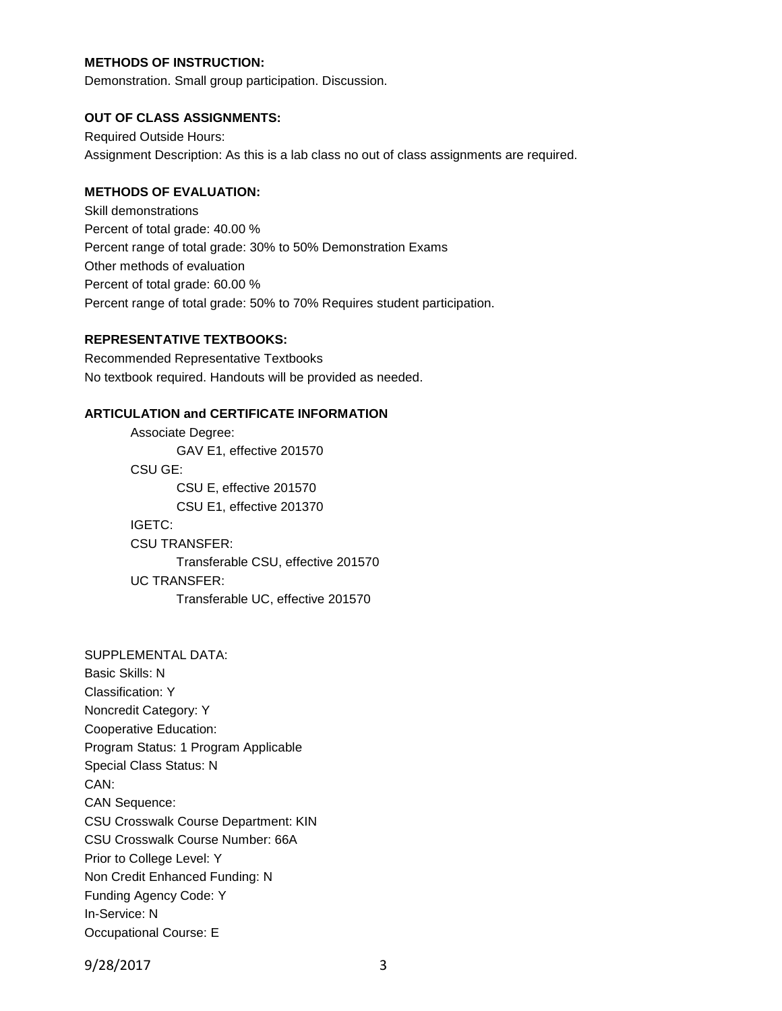## **METHODS OF INSTRUCTION:**

Demonstration. Small group participation. Discussion.

#### **OUT OF CLASS ASSIGNMENTS:**

Required Outside Hours: Assignment Description: As this is a lab class no out of class assignments are required.

### **METHODS OF EVALUATION:**

Skill demonstrations Percent of total grade: 40.00 % Percent range of total grade: 30% to 50% Demonstration Exams Other methods of evaluation Percent of total grade: 60.00 % Percent range of total grade: 50% to 70% Requires student participation.

#### **REPRESENTATIVE TEXTBOOKS:**

Recommended Representative Textbooks No textbook required. Handouts will be provided as needed.

## **ARTICULATION and CERTIFICATE INFORMATION**

Associate Degree: GAV E1, effective 201570 CSU GE: CSU E, effective 201570 CSU E1, effective 201370 IGETC: CSU TRANSFER: Transferable CSU, effective 201570 UC TRANSFER: Transferable UC, effective 201570

SUPPLEMENTAL DATA: Basic Skills: N Classification: Y Noncredit Category: Y Cooperative Education: Program Status: 1 Program Applicable Special Class Status: N CAN: CAN Sequence: CSU Crosswalk Course Department: KIN CSU Crosswalk Course Number: 66A Prior to College Level: Y Non Credit Enhanced Funding: N Funding Agency Code: Y In-Service: N Occupational Course: E

9/28/2017 3